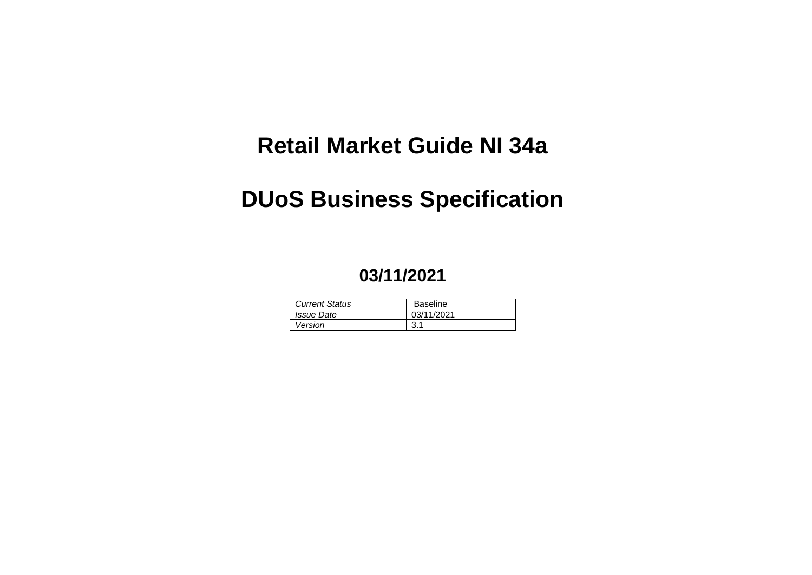# **Retail Market Guide NI 34a**

# **DUoS Business Specification**

# **03/11/2021**

| <b>Current Status</b>    | <b>Baseline</b> |
|--------------------------|-----------------|
| <i><b>Issue Date</b></i> | 03/11/2021      |
| Version                  |                 |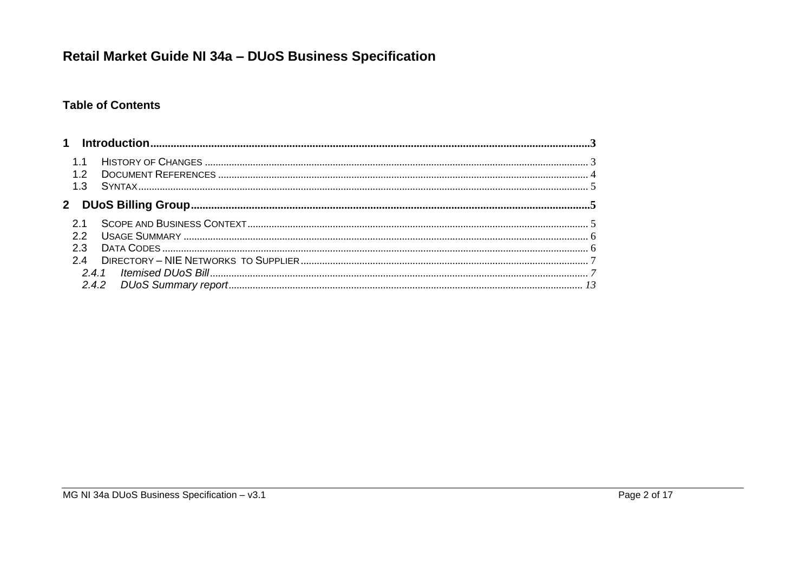### **Table of Contents**

| $\mathbf 1$    |     |  |
|----------------|-----|--|
| 12<br>1.3      |     |  |
| 2 <sup>1</sup> |     |  |
| っっ             |     |  |
| 23<br>24       |     |  |
|                | 241 |  |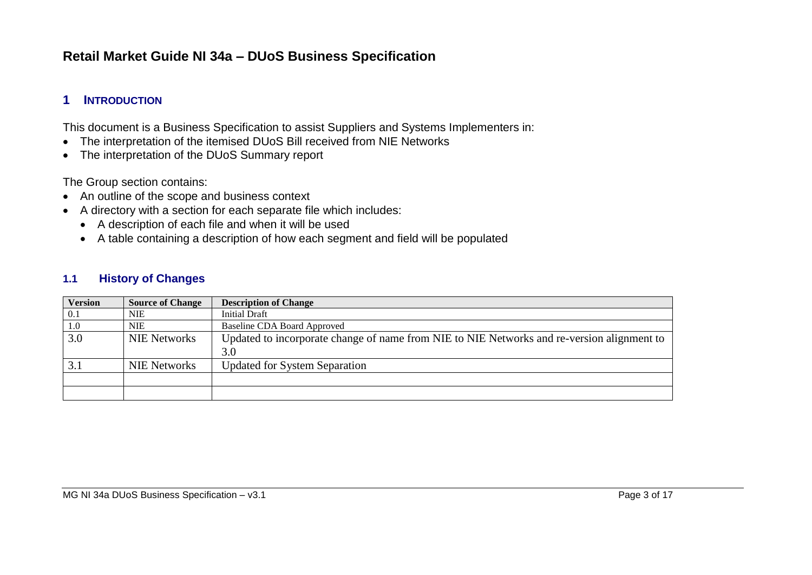### **1 INTRODUCTION**

This document is a Business Specification to assist Suppliers and Systems Implementers in:

- The interpretation of the itemised DUoS Bill received from NIE Networks
- The interpretation of the DUoS Summary report

The Group section contains:

- An outline of the scope and business context
- A directory with a section for each separate file which includes:
	- A description of each file and when it will be used
	- A table containing a description of how each segment and field will be populated

#### **1.1 History of Changes**

| <b>Version</b> | <b>Source of Change</b> | <b>Description of Change</b>                                                                      |
|----------------|-------------------------|---------------------------------------------------------------------------------------------------|
| 0.1            | NIE                     | Initial Draft                                                                                     |
| 1.0            | NIE                     | <b>Baseline CDA Board Approved</b>                                                                |
| 3.0            | <b>NIE Networks</b>     | Updated to incorporate change of name from NIE to NIE Networks and re-version alignment to<br>3.0 |
|                | <b>NIE Networks</b>     | <b>Updated for System Separation</b>                                                              |
|                |                         |                                                                                                   |
|                |                         |                                                                                                   |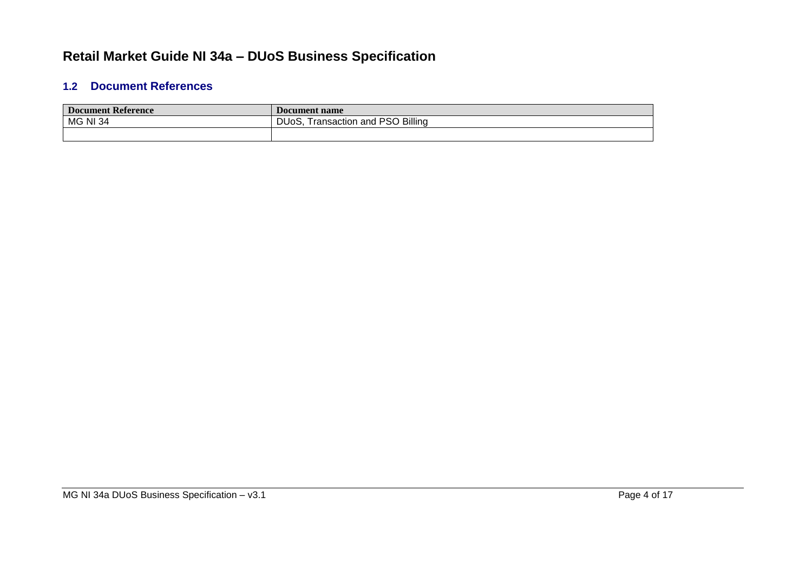### **1.2 Document References**

| <b>Document Reference</b> | Document name                             |
|---------------------------|-------------------------------------------|
| <b>MG NI 34</b>           | PSO Billing<br>DUoS.<br>Fransaction and F |
|                           |                                           |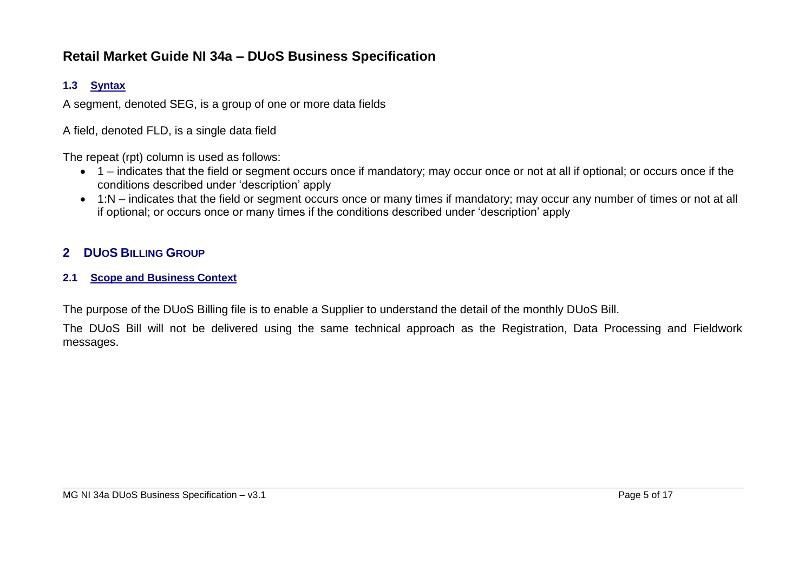### **1.3 Syntax**

A segment, denoted SEG, is a group of one or more data fields

A field, denoted FLD, is a single data field

The repeat (rpt) column is used as follows:

- 1 indicates that the field or segment occurs once if mandatory; may occur once or not at all if optional; or occurs once if the conditions described under 'description' apply
- 1:N indicates that the field or segment occurs once or many times if mandatory; may occur any number of times or not at all if optional; or occurs once or many times if the conditions described under 'description' apply

### **2 DUOS BILLING GROUP**

#### **2.1 Scope and Business Context**

The purpose of the DUoS Billing file is to enable a Supplier to understand the detail of the monthly DUoS Bill.

The DUoS Bill will not be delivered using the same technical approach as the Registration, Data Processing and Fieldwork messages.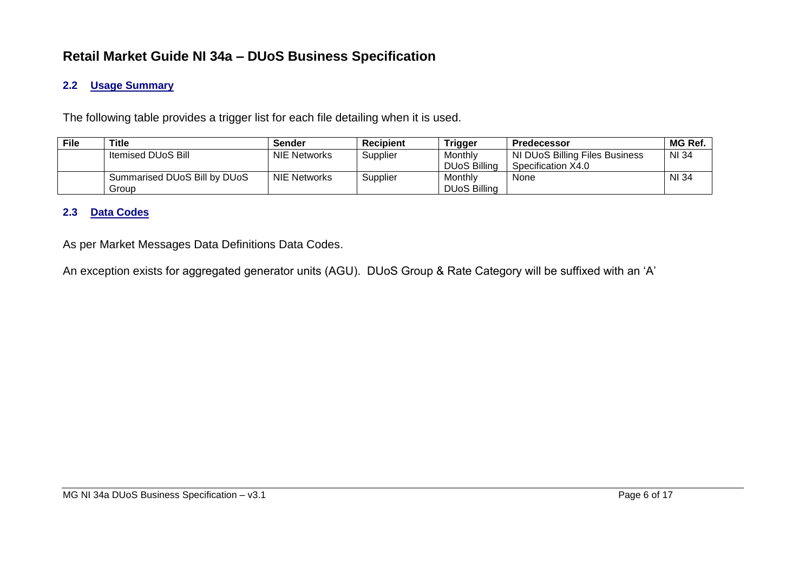#### **2.2 Usage Summary**

The following table provides a trigger list for each file detailing when it is used.

| <b>File</b> | Title                        | <b>Sender</b>       | <b>Recipient</b> | Trigger             | <b>Predecessor</b>             | MG Ref. |
|-------------|------------------------------|---------------------|------------------|---------------------|--------------------------------|---------|
|             | Itemised DUoS Bill           | <b>NIE Networks</b> | Supplier         | Monthly             | NI DUoS Billing Files Business | NI 34   |
|             |                              |                     |                  | <b>DUoS Billing</b> | Specification X4.0             |         |
|             | Summarised DUoS Bill by DUoS | <b>NIE Networks</b> | Supplier         | Monthly             | None                           | NI 34   |
|             | Group                        |                     |                  | <b>DUoS Billing</b> |                                |         |

#### **2.3 Data Codes**

As per Market Messages Data Definitions Data Codes.

An exception exists for aggregated generator units (AGU). DUoS Group & Rate Category will be suffixed with an 'A'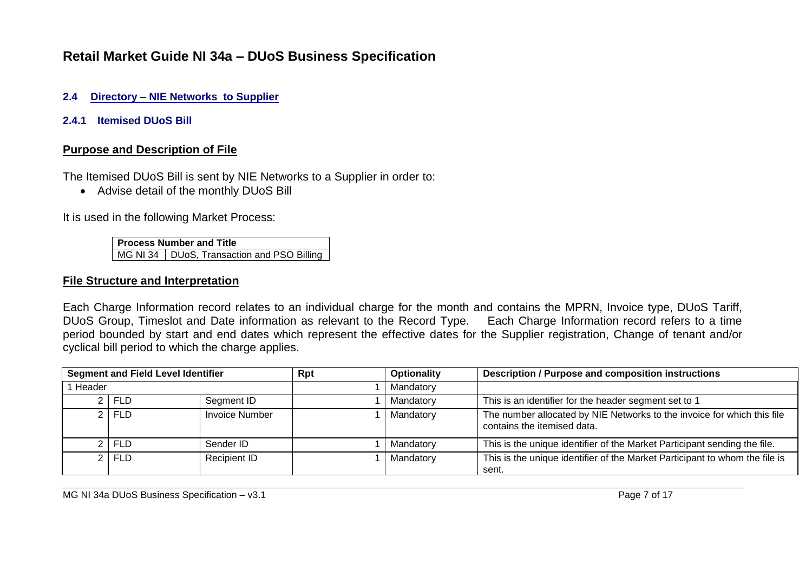#### **2.4 Directory – NIE Networks to Supplier**

**2.4.1 Itemised DUoS Bill**

#### **Purpose and Description of File**

The Itemised DUoS Bill is sent by NIE Networks to a Supplier in order to:

• Advise detail of the monthly DUoS Bill

It is used in the following Market Process:

**Process Number and Title** MG NI 34 | DUoS, Transaction and PSO Billing

#### **File Structure and Interpretation**

Each Charge Information record relates to an individual charge for the month and contains the MPRN, Invoice type, DUoS Tariff, DUoS Group, Timeslot and Date information as relevant to the Record Type. Each Charge Information record refers to a time period bounded by start and end dates which represent the effective dates for the Supplier registration, Change of tenant and/or cyclical bill period to which the charge applies.

| <b>Segment and Field Level Identifier</b> |           |                       | <b>Rpt</b> | <b>Optionality</b> | <b>Description / Purpose and composition instructions</b>                                              |
|-------------------------------------------|-----------|-----------------------|------------|--------------------|--------------------------------------------------------------------------------------------------------|
| Header                                    |           |                       | Mandatory  |                    |                                                                                                        |
|                                           | 2 I FLD   | Segment ID            |            | Mandatory          | This is an identifier for the header segment set to 1                                                  |
|                                           | $2$   FLD | <b>Invoice Number</b> |            | Mandatory          | The number allocated by NIE Networks to the invoice for which this file<br>contains the itemised data. |
|                                           | 2 FLD     | Sender ID             |            | Mandatory          | This is the unique identifier of the Market Participant sending the file.                              |
|                                           | 2 FLD     | Recipient ID          |            | Mandatory          | This is the unique identifier of the Market Participant to whom the file is<br>sent.                   |

MG NI 34a DUoS Business Specification – v3.1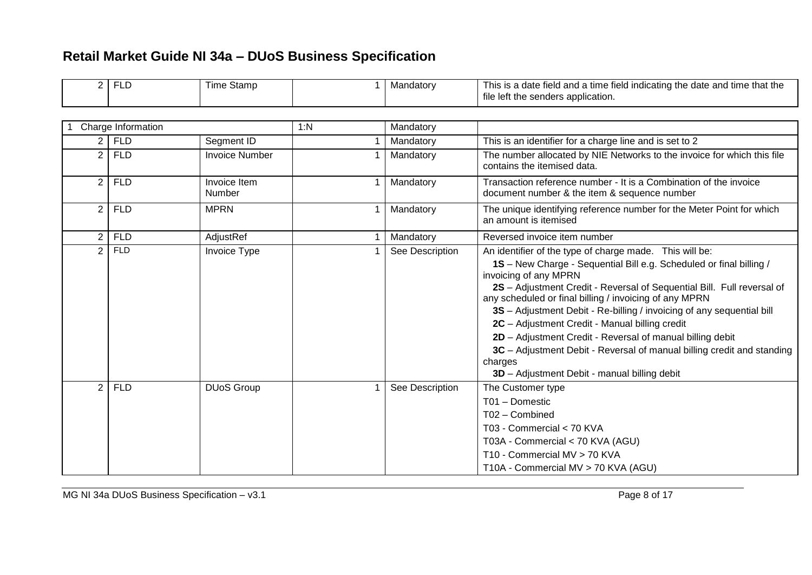| 2 <sub>1</sub>        | FLD                | Time Stamp             |     | Mandatory       | This is a date field and a time field indicating the date and time that the<br>file left the senders application.                                                                                                                                                                                                                                                                                                                                                                                                                                                                                                        |
|-----------------------|--------------------|------------------------|-----|-----------------|--------------------------------------------------------------------------------------------------------------------------------------------------------------------------------------------------------------------------------------------------------------------------------------------------------------------------------------------------------------------------------------------------------------------------------------------------------------------------------------------------------------------------------------------------------------------------------------------------------------------------|
|                       | Charge Information |                        | 1:N | Mandatory       |                                                                                                                                                                                                                                                                                                                                                                                                                                                                                                                                                                                                                          |
|                       |                    |                        |     |                 |                                                                                                                                                                                                                                                                                                                                                                                                                                                                                                                                                                                                                          |
| 2 I                   | <b>FLD</b>         | Segment ID             |     | Mandatory       | This is an identifier for a charge line and is set to 2                                                                                                                                                                                                                                                                                                                                                                                                                                                                                                                                                                  |
| $\overline{2}$        | <b>FLD</b>         | <b>Invoice Number</b>  |     | Mandatory       | The number allocated by NIE Networks to the invoice for which this file<br>contains the itemised data.                                                                                                                                                                                                                                                                                                                                                                                                                                                                                                                   |
| $\overline{2}$        | <b>FLD</b>         | Invoice Item<br>Number |     | Mandatory       | Transaction reference number - It is a Combination of the invoice<br>document number & the item & sequence number                                                                                                                                                                                                                                                                                                                                                                                                                                                                                                        |
| $\mathbf{2}^{\prime}$ | <b>FLD</b>         | <b>MPRN</b>            |     | Mandatory       | The unique identifying reference number for the Meter Point for which<br>an amount is itemised                                                                                                                                                                                                                                                                                                                                                                                                                                                                                                                           |
| $\overline{2}$        | <b>FLD</b>         | AdjustRef              |     | Mandatory       | Reversed invoice item number                                                                                                                                                                                                                                                                                                                                                                                                                                                                                                                                                                                             |
| $\overline{2}$        | <b>FLD</b>         | Invoice Type           |     | See Description | An identifier of the type of charge made. This will be:<br>1S - New Charge - Sequential Bill e.g. Scheduled or final billing /<br>invoicing of any MPRN<br>2S - Adjustment Credit - Reversal of Sequential Bill. Full reversal of<br>any scheduled or final billing / invoicing of any MPRN<br>3S - Adjustment Debit - Re-billing / invoicing of any sequential bill<br>2C - Adjustment Credit - Manual billing credit<br>2D - Adjustment Credit - Reversal of manual billing debit<br>3C - Adjustment Debit - Reversal of manual billing credit and standing<br>charges<br>3D - Adjustment Debit - manual billing debit |
| $\overline{2}$        | <b>FLD</b>         | <b>DUoS Group</b>      |     | See Description | The Customer type<br>T01 - Domestic<br>T02 - Combined<br>T03 - Commercial < 70 KVA<br>T03A - Commercial < 70 KVA (AGU)<br>T10 - Commercial MV > 70 KVA<br>T10A - Commercial MV > 70 KVA (AGU)                                                                                                                                                                                                                                                                                                                                                                                                                            |

 $\mathbf{r}$ 

┑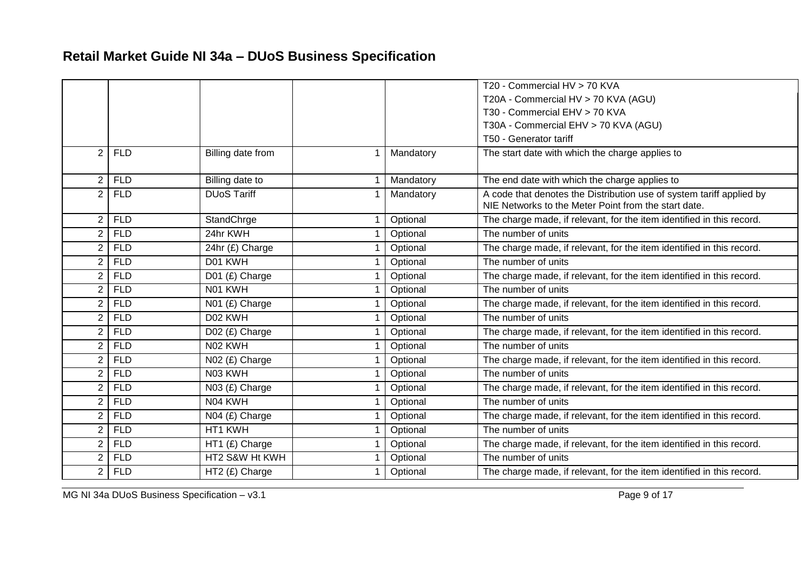|                |            |                    |           | T20 - Commercial HV > 70 KVA                                                                                                 |
|----------------|------------|--------------------|-----------|------------------------------------------------------------------------------------------------------------------------------|
|                |            |                    |           | T20A - Commercial HV > 70 KVA (AGU)                                                                                          |
|                |            |                    |           | T30 - Commercial EHV > 70 KVA                                                                                                |
|                |            |                    |           | T30A - Commercial EHV > 70 KVA (AGU)                                                                                         |
|                |            |                    |           | T50 - Generator tariff                                                                                                       |
| $\overline{2}$ | <b>FLD</b> | Billing date from  | Mandatory | The start date with which the charge applies to                                                                              |
| $\overline{2}$ | <b>FLD</b> | Billing date to    | Mandatory | The end date with which the charge applies to                                                                                |
| $\overline{2}$ | <b>FLD</b> | <b>DUoS Tariff</b> | Mandatory | A code that denotes the Distribution use of system tariff applied by<br>NIE Networks to the Meter Point from the start date. |
| $\overline{2}$ | <b>FLD</b> | StandChrge         | Optional  | The charge made, if relevant, for the item identified in this record.                                                        |
| $\overline{2}$ | <b>FLD</b> | 24hr KWH           | Optional  | The number of units                                                                                                          |
| $\overline{2}$ | <b>FLD</b> | 24hr (£) Charge    | Optional  | The charge made, if relevant, for the item identified in this record.                                                        |
| $\overline{2}$ | <b>FLD</b> | D01 KWH            | Optional  | The number of units                                                                                                          |
| $\overline{2}$ | <b>FLD</b> | D01 (£) Charge     | Optional  | The charge made, if relevant, for the item identified in this record.                                                        |
| $\overline{2}$ | <b>FLD</b> | N01 KWH            | Optional  | The number of units                                                                                                          |
| $\overline{2}$ | <b>FLD</b> | N01 (£) Charge     | Optional  | The charge made, if relevant, for the item identified in this record.                                                        |
| $\overline{2}$ | <b>FLD</b> | D02 KWH            | Optional  | The number of units                                                                                                          |
| $\overline{2}$ | <b>FLD</b> | D02 (£) Charge     | Optional  | The charge made, if relevant, for the item identified in this record.                                                        |
| $\overline{2}$ | <b>FLD</b> | N02 KWH            | Optional  | The number of units                                                                                                          |
| $\overline{2}$ | <b>FLD</b> | N02 (£) Charge     | Optional  | The charge made, if relevant, for the item identified in this record.                                                        |
| $\overline{2}$ | <b>FLD</b> | N03 KWH            | Optional  | The number of units                                                                                                          |
| $\overline{2}$ | <b>FLD</b> | N03 (£) Charge     | Optional  | The charge made, if relevant, for the item identified in this record.                                                        |
| $\overline{2}$ | <b>FLD</b> | N04 KWH            | Optional  | The number of units                                                                                                          |
| $\overline{2}$ | <b>FLD</b> | N04 (£) Charge     | Optional  | The charge made, if relevant, for the item identified in this record.                                                        |
| $\overline{2}$ | <b>FLD</b> | HT1 KWH            | Optional  | The number of units                                                                                                          |
| $\overline{2}$ | <b>FLD</b> | HT1 (£) Charge     | Optional  | The charge made, if relevant, for the item identified in this record.                                                        |
| $\overline{2}$ | <b>FLD</b> | HT2 S&W Ht KWH     | Optional  | The number of units                                                                                                          |
| $\overline{2}$ | <b>FLD</b> | HT2 (£) Charge     | Optional  | The charge made, if relevant, for the item identified in this record.                                                        |

MG NI 34a DUoS Business Specification – v3.1 Page 9 of 17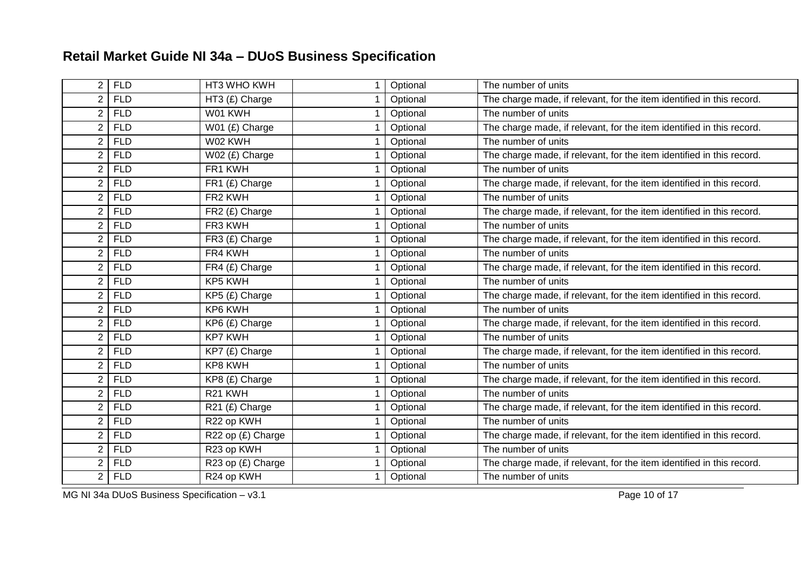| $\overline{2}$ | <b>FLD</b> | HT3 WHO KWH       | Optional | The number of units                                                   |
|----------------|------------|-------------------|----------|-----------------------------------------------------------------------|
| $\overline{2}$ | <b>FLD</b> | HT3 (£) Charge    | Optional | The charge made, if relevant, for the item identified in this record. |
| $\overline{2}$ | <b>FLD</b> | W01 KWH           | Optional | The number of units                                                   |
| $\overline{2}$ | <b>FLD</b> | W01 (£) Charge    | Optional | The charge made, if relevant, for the item identified in this record. |
| $\overline{2}$ | <b>FLD</b> | W02 KWH           | Optional | The number of units                                                   |
| $\overline{2}$ | <b>FLD</b> | W02 (£) Charge    | Optional | The charge made, if relevant, for the item identified in this record. |
| $\overline{2}$ | <b>FLD</b> | FR1 KWH           | Optional | The number of units                                                   |
| $\overline{2}$ | <b>FLD</b> | FR1 (£) Charge    | Optional | The charge made, if relevant, for the item identified in this record. |
| $\overline{2}$ | <b>FLD</b> | FR2 KWH           | Optional | The number of units                                                   |
| $\overline{2}$ | <b>FLD</b> | FR2 (£) Charge    | Optional | The charge made, if relevant, for the item identified in this record. |
| $\overline{2}$ | <b>FLD</b> | FR3 KWH           | Optional | The number of units                                                   |
| $\overline{2}$ | <b>FLD</b> | FR3 (£) Charge    | Optional | The charge made, if relevant, for the item identified in this record. |
| $\overline{2}$ | <b>FLD</b> | FR4 KWH           | Optional | The number of units                                                   |
| $\overline{2}$ | <b>FLD</b> | FR4 (£) Charge    | Optional | The charge made, if relevant, for the item identified in this record. |
| $\overline{2}$ | <b>FLD</b> | KP5 KWH           | Optional | The number of units                                                   |
| $\overline{2}$ | <b>FLD</b> | KP5 (£) Charge    | Optional | The charge made, if relevant, for the item identified in this record. |
| $\overline{2}$ | <b>FLD</b> | KP6 KWH           | Optional | The number of units                                                   |
| $\overline{2}$ | <b>FLD</b> | KP6 (£) Charge    | Optional | The charge made, if relevant, for the item identified in this record. |
| $\overline{2}$ | <b>FLD</b> | <b>KP7 KWH</b>    | Optional | The number of units                                                   |
| $\overline{2}$ | <b>FLD</b> | $KPT$ (£) Charge  | Optional | The charge made, if relevant, for the item identified in this record. |
| $\overline{2}$ | <b>FLD</b> | KP8 KWH           | Optional | The number of units                                                   |
| $\overline{2}$ | <b>FLD</b> | KP8 (£) Charge    | Optional | The charge made, if relevant, for the item identified in this record. |
| $\overline{2}$ | <b>FLD</b> | R21 KWH           | Optional | The number of units                                                   |
| $\overline{2}$ | <b>FLD</b> | R21 (£) Charge    | Optional | The charge made, if relevant, for the item identified in this record. |
| 2              | <b>FLD</b> | R22 op KWH        | Optional | The number of units                                                   |
| $\overline{2}$ | <b>FLD</b> | R22 op (£) Charge | Optional | The charge made, if relevant, for the item identified in this record. |
| $\overline{2}$ | <b>FLD</b> | R23 op KWH        | Optional | The number of units                                                   |
| $\overline{2}$ | <b>FLD</b> | R23 op (£) Charge | Optional | The charge made, if relevant, for the item identified in this record. |
| $\overline{2}$ | <b>FLD</b> | R24 op KWH        | Optional | The number of units                                                   |

MG NI 34a DUoS Business Specification – v3.1 Page 10 of 17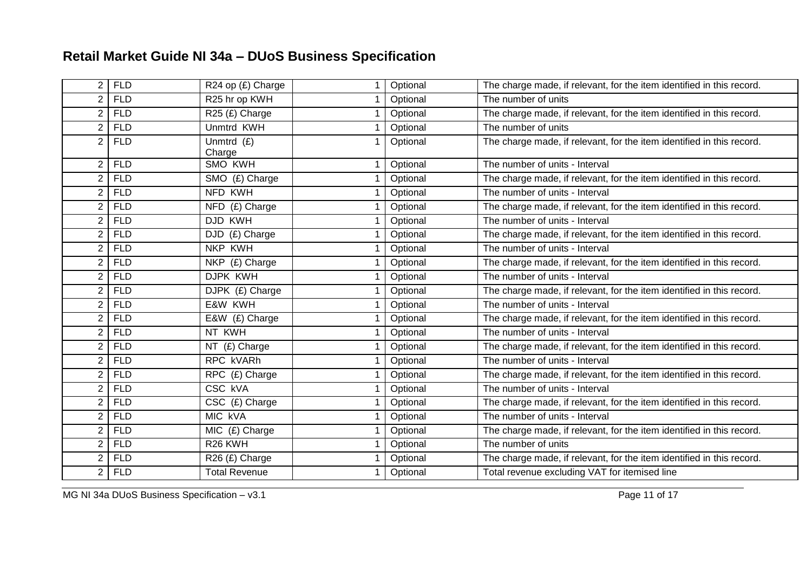| 2                     | <b>FLD</b> | R24 op (£) Charge      | Optional | The charge made, if relevant, for the item identified in this record. |
|-----------------------|------------|------------------------|----------|-----------------------------------------------------------------------|
| $\overline{2}$        | <b>FLD</b> | R25 hr op KWH          | Optional | The number of units                                                   |
| $\overline{2}$        | <b>FLD</b> | R25 (£) Charge         | Optional | The charge made, if relevant, for the item identified in this record. |
| $\overline{2}$        | <b>FLD</b> | <b>Unmtrd KWH</b>      | Optional | The number of units                                                   |
| $\overline{2}$        | <b>FLD</b> | Unmtrd $(E)$<br>Charge | Optional | The charge made, if relevant, for the item identified in this record. |
| $\overline{2}$        | <b>FLD</b> | SMO KWH                | Optional | The number of units - Interval                                        |
| $\overline{2}$        | <b>FLD</b> | SMO (£) Charge         | Optional | The charge made, if relevant, for the item identified in this record. |
| $\overline{2}$        | <b>FLD</b> | NFD KWH                | Optional | The number of units - Interval                                        |
| $\overline{2}$        | <b>FLD</b> | NFD (£) Charge         | Optional | The charge made, if relevant, for the item identified in this record. |
| $\overline{2}$        | <b>FLD</b> | DJD KWH                | Optional | The number of units - Interval                                        |
| $\overline{2}$        | <b>FLD</b> | DJD (£) Charge         | Optional | The charge made, if relevant, for the item identified in this record. |
| $\overline{2}$        | <b>FLD</b> | NKP KWH                | Optional | The number of units - Interval                                        |
| $\overline{2}$        | <b>FLD</b> | NKP (£) Charge         | Optional | The charge made, if relevant, for the item identified in this record. |
| $\overline{2}$        | <b>FLD</b> | DJPK KWH               | Optional | The number of units - Interval                                        |
| $\overline{2}$        | <b>FLD</b> | DJPK (£) Charge        | Optional | The charge made, if relevant, for the item identified in this record. |
| $\overline{2}$        | <b>FLD</b> | E&W KWH                | Optional | The number of units - Interval                                        |
| $\overline{2}$        | <b>FLD</b> | E&W (£) Charge         | Optional | The charge made, if relevant, for the item identified in this record. |
| $\mathbf{2}^{\prime}$ | <b>FLD</b> | NT KWH                 | Optional | The number of units - Interval                                        |
| $\overline{2}$        | <b>FLD</b> | NT (£) Charge          | Optional | The charge made, if relevant, for the item identified in this record. |
| $\overline{2}$        | <b>FLD</b> | RPC kVARh              | Optional | The number of units - Interval                                        |
| $\overline{2}$        | <b>FLD</b> | RPC (£) Charge         | Optional | The charge made, if relevant, for the item identified in this record. |
| $\overline{2}$        | <b>FLD</b> | CSC kVA                | Optional | The number of units - Interval                                        |
| $\overline{2}$        | <b>FLD</b> | $CSC$ $(E)$ Charge     | Optional | The charge made, if relevant, for the item identified in this record. |
| $\overline{2}$        | <b>FLD</b> | MIC <sub>kVA</sub>     | Optional | The number of units - Interval                                        |
| $\overline{2}$        | <b>FLD</b> | MIC (£) Charge         | Optional | The charge made, if relevant, for the item identified in this record. |
| $\overline{2}$        | <b>FLD</b> | R <sub>26</sub> KWH    | Optional | The number of units                                                   |
| $\overline{2}$        | <b>FLD</b> | R26 (£) Charge         | Optional | The charge made, if relevant, for the item identified in this record. |
| $\overline{2}$        | <b>FLD</b> | <b>Total Revenue</b>   | Optional | Total revenue excluding VAT for itemised line                         |

MG NI 34a DUoS Business Specification – v3.1 Page 11 of 17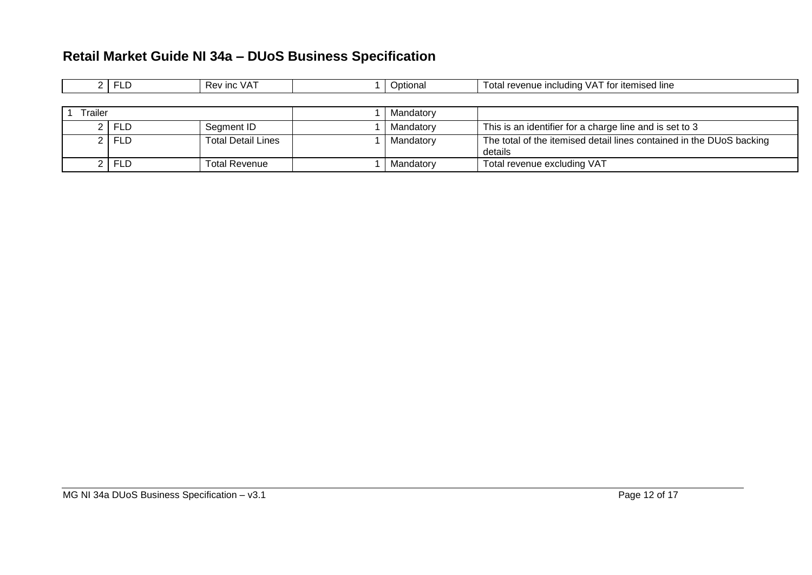|  | -- | .<br>INC.<br>$\mathcal{L}$<br>nt.<br>$V \cap V$ |  | סוס∪ | ∵itemised line<br>tο<br>$\sim$<br><b>Including</b><br>מו וח<br>.<br>м.<br>∪ldl<br>$\cdots$ reve<br>. <del>.</del> |
|--|----|-------------------------------------------------|--|------|-------------------------------------------------------------------------------------------------------------------|
|--|----|-------------------------------------------------|--|------|-------------------------------------------------------------------------------------------------------------------|

| Trailer |         |                           | Mandatory |                                                                                 |
|---------|---------|---------------------------|-----------|---------------------------------------------------------------------------------|
|         | 2 FLD   | Segment ID                | Mandatory | This is an identifier for a charge line and is set to 3                         |
|         | 2   FLD | <b>Total Detail Lines</b> | Mandatory | The total of the itemised detail lines contained in the DUoS backing<br>details |
|         | 2   FLD | <b>Total Revenue</b>      | Mandatory | Total revenue excluding VAT                                                     |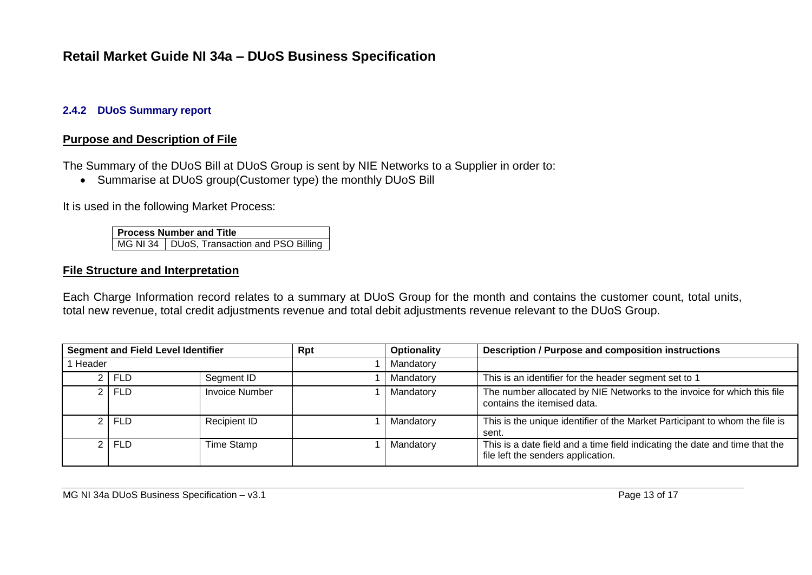#### **2.4.2 DUoS Summary report**

#### **Purpose and Description of File**

The Summary of the DUoS Bill at DUoS Group is sent by NIE Networks to a Supplier in order to:

• Summarise at DUoS group(Customer type) the monthly DUoS Bill

It is used in the following Market Process:

**Process Number and Title** MG NI 34 | DUoS, Transaction and PSO Billing

#### **File Structure and Interpretation**

Each Charge Information record relates to a summary at DUoS Group for the month and contains the customer count, total units, total new revenue, total credit adjustments revenue and total debit adjustments revenue relevant to the DUoS Group.

| <b>Segment and Field Level Identifier</b> |            |                       | Rpt | <b>Optionality</b> | <b>Description / Purpose and composition instructions</b>                                                         |
|-------------------------------------------|------------|-----------------------|-----|--------------------|-------------------------------------------------------------------------------------------------------------------|
| Header                                    |            |                       |     | Mandatory          |                                                                                                                   |
|                                           | <b>FLD</b> | Segment ID            |     | Mandatory          | This is an identifier for the header segment set to 1                                                             |
|                                           | <b>FLD</b> | <b>Invoice Number</b> |     | Mandatory          | The number allocated by NIE Networks to the invoice for which this file<br>contains the itemised data.            |
|                                           | $2$   FLD  | <b>Recipient ID</b>   |     | Mandatory          | This is the unique identifier of the Market Participant to whom the file is<br>sent.                              |
|                                           | $2$   FLD  | Time Stamp            |     | Mandatory          | This is a date field and a time field indicating the date and time that the<br>file left the senders application. |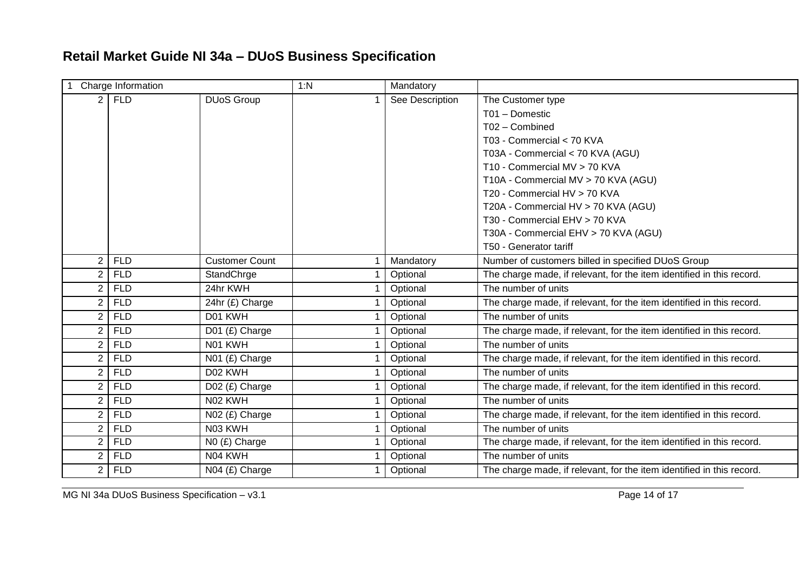| Charge Information |            | 1:N                   | Mandatory |                 |                                                                       |
|--------------------|------------|-----------------------|-----------|-----------------|-----------------------------------------------------------------------|
| 2 <sup>1</sup>     | <b>FLD</b> | <b>DUoS Group</b>     |           | See Description | The Customer type                                                     |
|                    |            |                       |           |                 | T01 - Domestic                                                        |
|                    |            |                       |           |                 | T02 - Combined                                                        |
|                    |            |                       |           |                 | T03 - Commercial < 70 KVA                                             |
|                    |            |                       |           |                 | T03A - Commercial < 70 KVA (AGU)                                      |
|                    |            |                       |           |                 | T10 - Commercial MV > 70 KVA                                          |
|                    |            |                       |           |                 | T10A - Commercial MV > 70 KVA (AGU)                                   |
|                    |            |                       |           |                 | T20 - Commercial HV > 70 KVA                                          |
|                    |            |                       |           |                 | T20A - Commercial HV > 70 KVA (AGU)                                   |
|                    |            |                       |           |                 | T30 - Commercial EHV > 70 KVA                                         |
|                    |            |                       |           |                 | T30A - Commercial EHV > 70 KVA (AGU)                                  |
|                    |            |                       |           |                 | T50 - Generator tariff                                                |
| $\overline{2}$     | <b>FLD</b> | <b>Customer Count</b> |           | Mandatory       | Number of customers billed in specified DUoS Group                    |
| $\overline{2}$     | <b>FLD</b> | StandChrge            |           | Optional        | The charge made, if relevant, for the item identified in this record. |
| $\overline{2}$     | <b>FLD</b> | 24hr KWH              |           | Optional        | The number of units                                                   |
| $\overline{2}$     | <b>FLD</b> | 24hr (£) Charge       |           | Optional        | The charge made, if relevant, for the item identified in this record. |
| $\overline{2}$     | <b>FLD</b> | D01 KWH               |           | Optional        | The number of units                                                   |
| $\overline{2}$     | <b>FLD</b> | D01 (£) Charge        |           | Optional        | The charge made, if relevant, for the item identified in this record. |
| $\overline{2}$     | <b>FLD</b> | N01 KWH               |           | Optional        | The number of units                                                   |
| $\overline{2}$     | <b>FLD</b> | N01 (£) Charge        |           | Optional        | The charge made, if relevant, for the item identified in this record. |
| $\overline{2}$     | <b>FLD</b> | D02 KWH               |           | Optional        | The number of units                                                   |
| $\overline{2}$     | <b>FLD</b> | D02 (£) Charge        |           | Optional        | The charge made, if relevant, for the item identified in this record. |
| $\overline{2}$     | <b>FLD</b> | N02 KWH               |           | Optional        | The number of units                                                   |
| $\overline{2}$     | <b>FLD</b> | N02 (£) Charge        |           | Optional        | The charge made, if relevant, for the item identified in this record. |
| $\overline{2}$     | <b>FLD</b> | N03 KWH               |           | Optional        | The number of units                                                   |
| $\overline{2}$     | <b>FLD</b> | N0 (£) Charge         |           | Optional        | The charge made, if relevant, for the item identified in this record. |
| $\overline{2}$     | <b>FLD</b> | N04 KWH               |           | Optional        | The number of units                                                   |
| $\overline{2}$     | <b>FLD</b> | N04 (£) Charge        |           | Optional        | The charge made, if relevant, for the item identified in this record. |

MG NI 34a DUoS Business Specification – v3.1 Page 14 of 17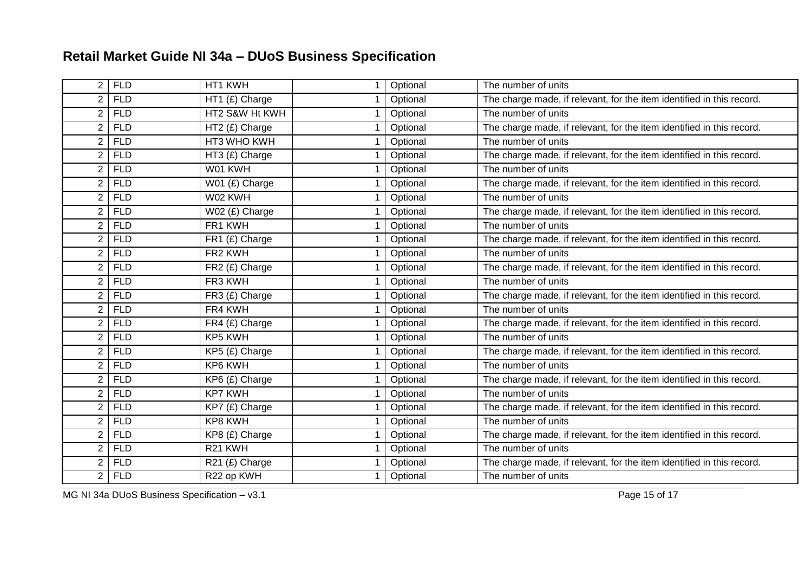| $\overline{2}$ | <b>FLD</b> | HT1 KWH             | Optional | The number of units                                                   |
|----------------|------------|---------------------|----------|-----------------------------------------------------------------------|
| $\overline{2}$ | <b>FLD</b> | HT1 (£) Charge      | Optional | The charge made, if relevant, for the item identified in this record. |
| $\overline{2}$ | <b>FLD</b> | HT2 S&W Ht KWH      | Optional | The number of units                                                   |
| $\overline{2}$ | <b>FLD</b> | HT2 (£) Charge      | Optional | The charge made, if relevant, for the item identified in this record. |
| $\overline{2}$ | <b>FLD</b> | HT3 WHO KWH         | Optional | The number of units                                                   |
| $\overline{2}$ | <b>FLD</b> | HT3 (£) Charge      | Optional | The charge made, if relevant, for the item identified in this record. |
| 2              | <b>FLD</b> | W01 KWH             | Optional | The number of units                                                   |
| $\overline{2}$ | <b>FLD</b> | W01 (£) Charge      | Optional | The charge made, if relevant, for the item identified in this record. |
| $\overline{2}$ | <b>FLD</b> | W02 KWH             | Optional | The number of units                                                   |
| $\overline{2}$ | <b>FLD</b> | W02 (£) Charge      | Optional | The charge made, if relevant, for the item identified in this record. |
| $\overline{2}$ | <b>FLD</b> | FR1 KWH             | Optional | The number of units                                                   |
| $\overline{2}$ | <b>FLD</b> | FR1 (£) Charge      | Optional | The charge made, if relevant, for the item identified in this record. |
| $\overline{2}$ | <b>FLD</b> | FR <sub>2</sub> KWH | Optional | The number of units                                                   |
| $\overline{2}$ | <b>FLD</b> | FR2 (£) Charge      | Optional | The charge made, if relevant, for the item identified in this record. |
| $\overline{2}$ | <b>FLD</b> | FR3 KWH             | Optional | The number of units                                                   |
| $\overline{2}$ | <b>FLD</b> | FR3 (£) Charge      | Optional | The charge made, if relevant, for the item identified in this record. |
| $\overline{2}$ | <b>FLD</b> | FR4 KWH             | Optional | The number of units                                                   |
| $\overline{2}$ | <b>FLD</b> | FR4 (£) Charge      | Optional | The charge made, if relevant, for the item identified in this record. |
| $\overline{2}$ | <b>FLD</b> | KP5 KWH             | Optional | The number of units                                                   |
| $\overline{2}$ | <b>FLD</b> | KP5 (£) Charge      | Optional | The charge made, if relevant, for the item identified in this record. |
| $\overline{2}$ | <b>FLD</b> | KP6 KWH             | Optional | The number of units                                                   |
| $\overline{2}$ | <b>FLD</b> | KP6 (£) Charge      | Optional | The charge made, if relevant, for the item identified in this record. |
| $\overline{2}$ | <b>FLD</b> | <b>KP7 KWH</b>      | Optional | The number of units                                                   |
| $\overline{2}$ | <b>FLD</b> | KP7 (£) Charge      | Optional | The charge made, if relevant, for the item identified in this record. |
| $\overline{2}$ | <b>FLD</b> | KP8 KWH             | Optional | The number of units                                                   |
| $\overline{2}$ | <b>FLD</b> | KP8 (£) Charge      | Optional | The charge made, if relevant, for the item identified in this record. |
| $\overline{2}$ | <b>FLD</b> | R21 KWH             | Optional | The number of units                                                   |
| $\overline{2}$ | <b>FLD</b> | R21 (£) Charge      | Optional | The charge made, if relevant, for the item identified in this record. |
| $\overline{2}$ | <b>FLD</b> | R22 op KWH          | Optional | The number of units                                                   |

MG NI 34a DUoS Business Specification – v3.1 Page 15 of 17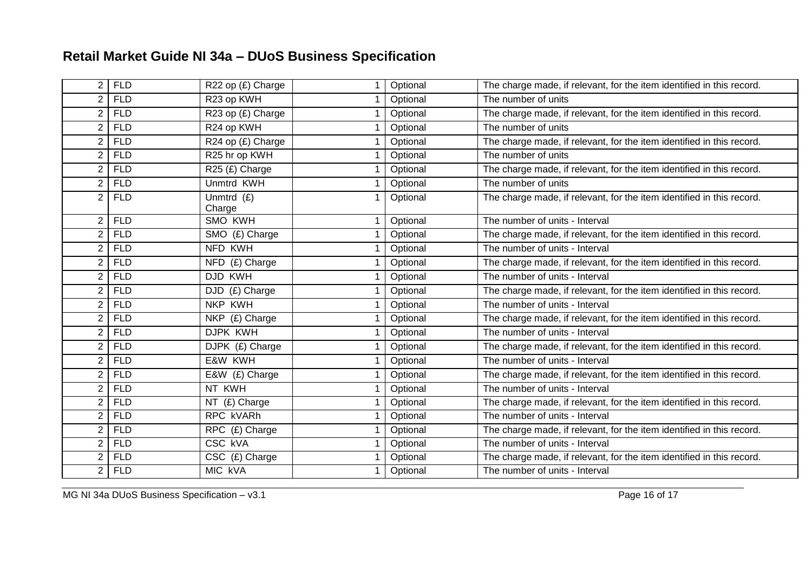| $\overline{2}$ | <b>FLD</b> | R22 op (£) Charge      | Optional | The charge made, if relevant, for the item identified in this record. |
|----------------|------------|------------------------|----------|-----------------------------------------------------------------------|
| $\overline{2}$ | <b>FLD</b> | R23 op KWH             | Optional | The number of units                                                   |
| $\overline{2}$ | <b>FLD</b> | R23 op (£) Charge      | Optional | The charge made, if relevant, for the item identified in this record. |
| $\overline{2}$ | <b>FLD</b> | R24 op KWH             | Optional | The number of units                                                   |
| $\overline{2}$ | <b>FLD</b> | R24 op (£) Charge      | Optional | The charge made, if relevant, for the item identified in this record. |
| $\overline{2}$ | <b>FLD</b> | R25 hr op KWH          | Optional | The number of units                                                   |
| $\overline{2}$ | <b>FLD</b> | R25 (£) Charge         | Optional | The charge made, if relevant, for the item identified in this record. |
| $\overline{2}$ | <b>FLD</b> | Unmtrd KWH             | Optional | The number of units                                                   |
| $\overline{2}$ | <b>FLD</b> | Unmtrd $(f)$<br>Charge | Optional | The charge made, if relevant, for the item identified in this record. |
| $\overline{2}$ | <b>FLD</b> | SMO KWH                | Optional | The number of units - Interval                                        |
| $\overline{2}$ | <b>FLD</b> | SMO (£) Charge         | Optional | The charge made, if relevant, for the item identified in this record. |
| $\overline{2}$ | <b>FLD</b> | NFD KWH                | Optional | The number of units - Interval                                        |
| $\overline{2}$ | <b>FLD</b> | NFD (£) Charge         | Optional | The charge made, if relevant, for the item identified in this record. |
| $\overline{2}$ | <b>FLD</b> | DJD KWH                | Optional | The number of units - Interval                                        |
| $\overline{2}$ | <b>FLD</b> | DJD (£) Charge         | Optional | The charge made, if relevant, for the item identified in this record. |
| $\overline{2}$ | <b>FLD</b> | NKP KWH                | Optional | The number of units - Interval                                        |
| $\overline{2}$ | <b>FLD</b> | NKP (£) Charge         | Optional | The charge made, if relevant, for the item identified in this record. |
| $\overline{2}$ | <b>FLD</b> | DJPK KWH               | Optional | The number of units - Interval                                        |
| $\overline{2}$ | <b>FLD</b> | DJPK (£) Charge        | Optional | The charge made, if relevant, for the item identified in this record. |
| $\overline{2}$ | <b>FLD</b> | E&W KWH                | Optional | The number of units - Interval                                        |
| $\overline{2}$ | <b>FLD</b> | E&W (£) Charge         | Optional | The charge made, if relevant, for the item identified in this record. |
| $\overline{2}$ | <b>FLD</b> | NT KWH                 | Optional | The number of units - Interval                                        |
| $\overline{2}$ | <b>FLD</b> | $NT$ (£) Charge        | Optional | The charge made, if relevant, for the item identified in this record. |
| $\overline{2}$ | <b>FLD</b> | RPC kVARh              | Optional | The number of units - Interval                                        |
| $\overline{2}$ | <b>FLD</b> | RPC (£) Charge         | Optional | The charge made, if relevant, for the item identified in this record. |
| $\overline{2}$ | <b>FLD</b> | CSC kVA                | Optional | The number of units - Interval                                        |
| $\overline{2}$ | <b>FLD</b> | CSC (£) Charge         | Optional | The charge made, if relevant, for the item identified in this record. |
| $\overline{2}$ | <b>FLD</b> | <b>MIC KVA</b>         | Optional | The number of units - Interval                                        |

MG NI 34a DUoS Business Specification – v3.1 Page 16 of 17